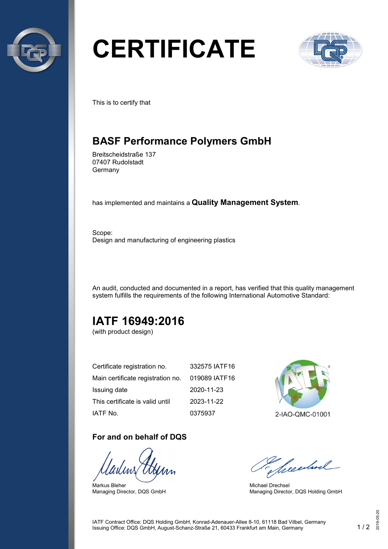

# **CERTIFICATE**



This is to certify that

## **BASF Performance Polymers GmbH**

Breitscheidstraße 137 07407 Rudolstadt Germany

has implemented and maintains a **Quality Management System**.

Scope: Design and manufacturing of engineering plastics

An audit, conducted and documented in a report, has verified that this quality management system fulfills the requirements of the following International Automotive Standard:

# **IATF 16949:2016**

(with product design)

| Certificate registration no.      | 332575 IATF16 |
|-----------------------------------|---------------|
| Main certificate registration no. | 019089 IATF16 |
| Issuing date                      | 2020-11-23    |
| This certificate is valid until   | 2023-11-22    |
| IATF No.                          | 0375937       |

#### **For and on behalf of DQS**

Markus Bleher Managing Director, DQS GmbH



2-IAO-QMC-01001

Seculard

Michael Drechsel Managing Director, DQS Holding GmbH

IATF Contract Office: DQS Holding GmbH, Konrad-Adenauer-Allee 8-10, 61118 Bad Vilbel, Germany Issuing Office: DQS GmbH, August-Schanz-Straße 21, 60433 Frankfurt am Main, Germany 1 / 2